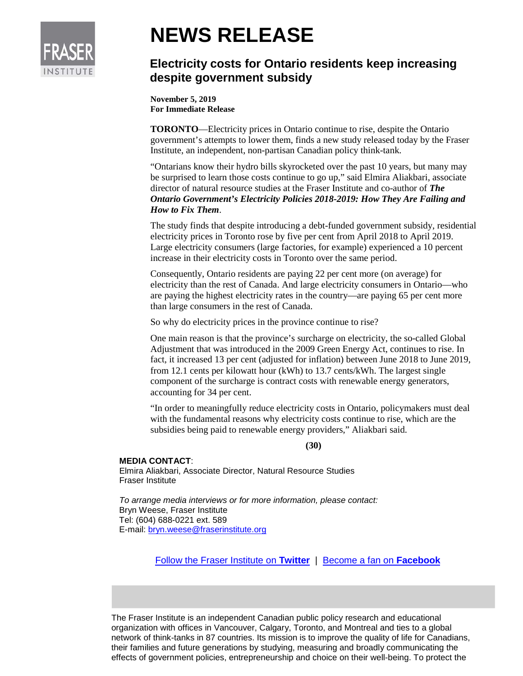

## **NEWS RELEASE**

## **Electricity costs for Ontario residents keep increasing despite government subsidy**

**November 5, 2019 For Immediate Release**

**TORONTO**—Electricity prices in Ontario continue to rise, despite the Ontario government's attempts to lower them, finds a new study released today by the Fraser Institute, an independent, non-partisan Canadian policy think-tank.

"Ontarians know their hydro bills skyrocketed over the past 10 years, but many may be surprised to learn those costs continue to go up," said Elmira Aliakbari, associate director of natural resource studies at the Fraser Institute and co-author of *The Ontario Government's Electricity Policies 2018-2019: How They Are Failing and How to Fix Them*.

The study finds that despite introducing a debt-funded government subsidy, residential electricity prices in Toronto rose by five per cent from April 2018 to April 2019. Large electricity consumers (large factories, for example) experienced a 10 percent increase in their electricity costs in Toronto over the same period.

Consequently, Ontario residents are paying 22 per cent more (on average) for electricity than the rest of Canada. And large electricity consumers in Ontario—who are paying the highest electricity rates in the country—are paying 65 per cent more than large consumers in the rest of Canada.

So why do electricity prices in the province continue to rise?

One main reason is that the province's surcharge on electricity, the so-called Global Adjustment that was introduced in the 2009 Green Energy Act, continues to rise. In fact, it increased 13 per cent (adjusted for inflation) between June 2018 to June 2019, from 12.1 cents per kilowatt hour (kWh) to 13.7 cents/kWh. The largest single component of the surcharge is contract costs with renewable energy generators, accounting for 34 per cent.

"In order to meaningfully reduce electricity costs in Ontario, policymakers must deal with the fundamental reasons why electricity costs continue to rise, which are the subsidies being paid to renewable energy providers," Aliakbari said.

## **(30)**

## **MEDIA CONTACT**:

Elmira Aliakbari, Associate Director, Natural Resource Studies Fraser Institute

*To arrange media interviews or for more information, please contact:* Bryn Weese, Fraser Institute Tel: (604) 688-0221 ext. 589 E-mail: [bryn.weese@fraserinstitute.org](mailto:bryn.weese@fraserinstitute.org)

[Follow the Fraser Institute on](http://www.twitter.com/FraserInstitute) **Twitter** |[Become a fan on](http://www.facebook.com/FraserInstitute) **Facebook**

The Fraser Institute is an independent Canadian public policy research and educational organization with offices in Vancouver, Calgary, Toronto, and Montreal and ties to a global network of think-tanks in 87 countries. Its mission is to improve the quality of life for Canadians, their families and future generations by studying, measuring and broadly communicating the effects of government policies, entrepreneurship and choice on their well-being. To protect the